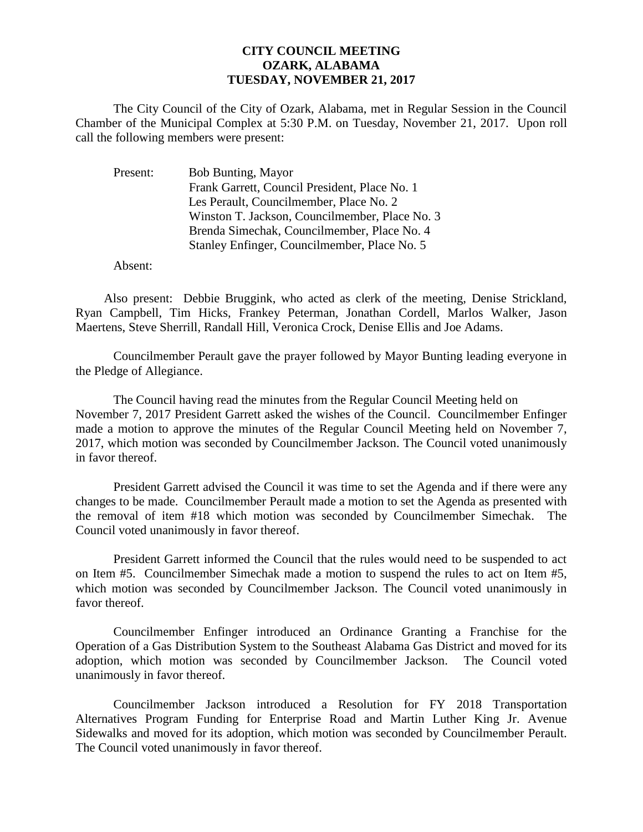## **CITY COUNCIL MEETING OZARK, ALABAMA TUESDAY, NOVEMBER 21, 2017**

The City Council of the City of Ozark, Alabama, met in Regular Session in the Council Chamber of the Municipal Complex at 5:30 P.M. on Tuesday, November 21, 2017. Upon roll call the following members were present:

| Present: | Bob Bunting, Mayor                             |
|----------|------------------------------------------------|
|          | Frank Garrett, Council President, Place No. 1  |
|          | Les Perault, Councilmember, Place No. 2        |
|          | Winston T. Jackson, Councilmember, Place No. 3 |
|          | Brenda Simechak, Councilmember, Place No. 4    |
|          | Stanley Enfinger, Councilmember, Place No. 5   |

Absent:

Also present: Debbie Bruggink, who acted as clerk of the meeting, Denise Strickland, Ryan Campbell, Tim Hicks, Frankey Peterman, Jonathan Cordell, Marlos Walker, Jason Maertens, Steve Sherrill, Randall Hill, Veronica Crock, Denise Ellis and Joe Adams.

Councilmember Perault gave the prayer followed by Mayor Bunting leading everyone in the Pledge of Allegiance.

The Council having read the minutes from the Regular Council Meeting held on November 7, 2017 President Garrett asked the wishes of the Council. Councilmember Enfinger made a motion to approve the minutes of the Regular Council Meeting held on November 7, 2017, which motion was seconded by Councilmember Jackson. The Council voted unanimously in favor thereof.

President Garrett advised the Council it was time to set the Agenda and if there were any changes to be made. Councilmember Perault made a motion to set the Agenda as presented with the removal of item #18 which motion was seconded by Councilmember Simechak. The Council voted unanimously in favor thereof.

President Garrett informed the Council that the rules would need to be suspended to act on Item #5. Councilmember Simechak made a motion to suspend the rules to act on Item #5, which motion was seconded by Councilmember Jackson. The Council voted unanimously in favor thereof.

Councilmember Enfinger introduced an Ordinance Granting a Franchise for the Operation of a Gas Distribution System to the Southeast Alabama Gas District and moved for its adoption, which motion was seconded by Councilmember Jackson. The Council voted unanimously in favor thereof.

Councilmember Jackson introduced a Resolution for FY 2018 Transportation Alternatives Program Funding for Enterprise Road and Martin Luther King Jr. Avenue Sidewalks and moved for its adoption, which motion was seconded by Councilmember Perault. The Council voted unanimously in favor thereof.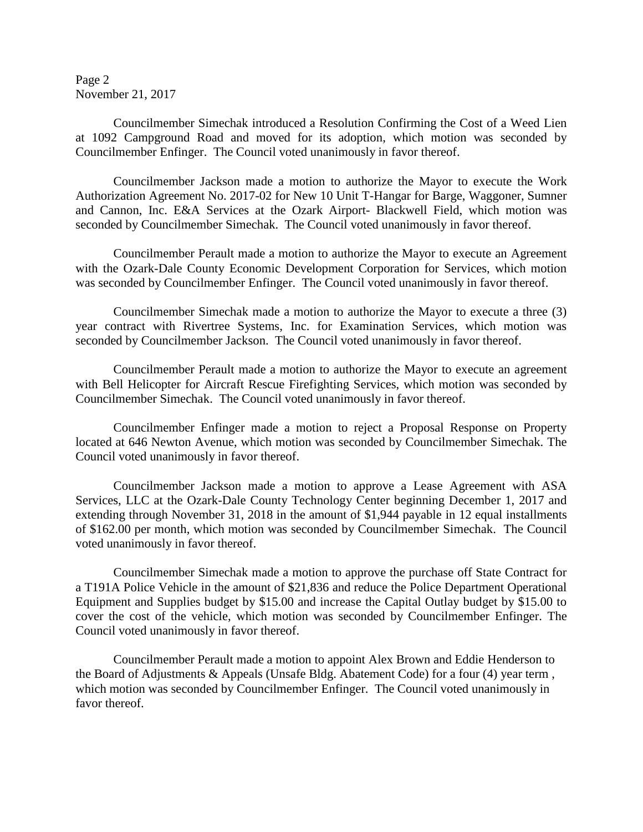Page 2 November 21, 2017

Councilmember Simechak introduced a Resolution Confirming the Cost of a Weed Lien at 1092 Campground Road and moved for its adoption, which motion was seconded by Councilmember Enfinger. The Council voted unanimously in favor thereof.

Councilmember Jackson made a motion to authorize the Mayor to execute the Work Authorization Agreement No. 2017-02 for New 10 Unit T-Hangar for Barge, Waggoner, Sumner and Cannon, Inc. E&A Services at the Ozark Airport- Blackwell Field, which motion was seconded by Councilmember Simechak. The Council voted unanimously in favor thereof.

Councilmember Perault made a motion to authorize the Mayor to execute an Agreement with the Ozark-Dale County Economic Development Corporation for Services, which motion was seconded by Councilmember Enfinger. The Council voted unanimously in favor thereof.

Councilmember Simechak made a motion to authorize the Mayor to execute a three (3) year contract with Rivertree Systems, Inc. for Examination Services, which motion was seconded by Councilmember Jackson. The Council voted unanimously in favor thereof.

Councilmember Perault made a motion to authorize the Mayor to execute an agreement with Bell Helicopter for Aircraft Rescue Firefighting Services, which motion was seconded by Councilmember Simechak. The Council voted unanimously in favor thereof.

Councilmember Enfinger made a motion to reject a Proposal Response on Property located at 646 Newton Avenue, which motion was seconded by Councilmember Simechak. The Council voted unanimously in favor thereof.

Councilmember Jackson made a motion to approve a Lease Agreement with ASA Services, LLC at the Ozark-Dale County Technology Center beginning December 1, 2017 and extending through November 31, 2018 in the amount of \$1,944 payable in 12 equal installments of \$162.00 per month, which motion was seconded by Councilmember Simechak. The Council voted unanimously in favor thereof.

Councilmember Simechak made a motion to approve the purchase off State Contract for a T191A Police Vehicle in the amount of \$21,836 and reduce the Police Department Operational Equipment and Supplies budget by \$15.00 and increase the Capital Outlay budget by \$15.00 to cover the cost of the vehicle, which motion was seconded by Councilmember Enfinger. The Council voted unanimously in favor thereof.

Councilmember Perault made a motion to appoint Alex Brown and Eddie Henderson to the Board of Adjustments & Appeals (Unsafe Bldg. Abatement Code) for a four (4) year term , which motion was seconded by Councilmember Enfinger. The Council voted unanimously in favor thereof.